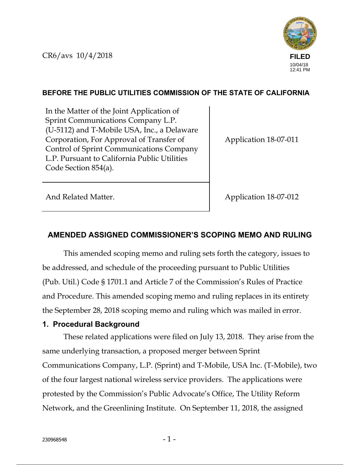

## **BEFORE THE PUBLIC UTILITIES COMMISSION OF THE STATE OF CALIFORNIA**

In the Matter of the Joint Application of Sprint Communications Company L.P. (U-5112) and T-Mobile USA, Inc., a Delaware Corporation, For Approval of Transfer of Control of Sprint Communications Company L.P. Pursuant to California Public Utilities Code Section 854(a).

Application 18-07-011

And Related Matter. Application 18-07-012

# **AMENDED ASSIGNED COMMISSIONER'S SCOPING MEMO AND RULING**

This amended scoping memo and ruling sets forth the category, issues to be addressed, and schedule of the proceeding pursuant to Public Utilities (Pub. Util.) Code § 1701.1 and Article 7 of the Commission's Rules of Practice and Procedure. This amended scoping memo and ruling replaces in its entirety the September 28, 2018 scoping memo and ruling which was mailed in error.

### **1. Procedural Background**

These related applications were filed on July 13, 2018. They arise from the same underlying transaction, a proposed merger between Sprint Communications Company, L.P. (Sprint) and T-Mobile, USA Inc. (T-Mobile), two of the four largest national wireless service providers. The applications were protested by the Commission's Public Advocate's Office, The Utility Reform Network, and the Greenlining Institute. On September 11, 2018, the assigned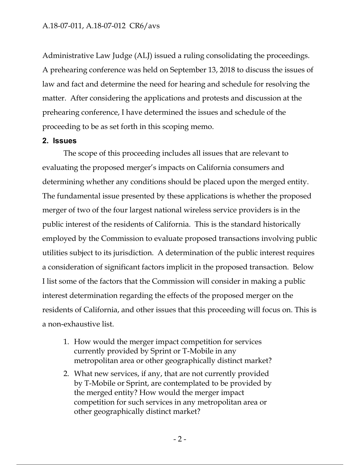Administrative Law Judge (ALJ) issued a ruling consolidating the proceedings. A prehearing conference was held on September 13, 2018 to discuss the issues of law and fact and determine the need for hearing and schedule for resolving the matter. After considering the applications and protests and discussion at the prehearing conference, I have determined the issues and schedule of the proceeding to be as set forth in this scoping memo.

#### **2. Issues**

The scope of this proceeding includes all issues that are relevant to evaluating the proposed merger's impacts on California consumers and determining whether any conditions should be placed upon the merged entity. The fundamental issue presented by these applications is whether the proposed merger of two of the four largest national wireless service providers is in the public interest of the residents of California. This is the standard historically employed by the Commission to evaluate proposed transactions involving public utilities subject to its jurisdiction. A determination of the public interest requires a consideration of significant factors implicit in the proposed transaction. Below I list some of the factors that the Commission will consider in making a public interest determination regarding the effects of the proposed merger on the residents of California, and other issues that this proceeding will focus on. This is a non-exhaustive list.

- 1. How would the merger impact competition for services currently provided by Sprint or T-Mobile in any metropolitan area or other geographically distinct market?
- 2. What new services, if any, that are not currently provided by T-Mobile or Sprint, are contemplated to be provided by the merged entity? How would the merger impact competition for such services in any metropolitan area or other geographically distinct market?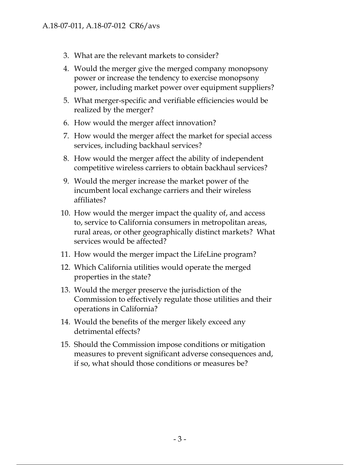- 3. What are the relevant markets to consider?
- 4. Would the merger give the merged company monopsony power or increase the tendency to exercise monopsony power, including market power over equipment suppliers?
- 5. What merger-specific and verifiable efficiencies would be realized by the merger?
- 6. How would the merger affect innovation?
- 7. How would the merger affect the market for special access services, including backhaul services?
- 8. How would the merger affect the ability of independent competitive wireless carriers to obtain backhaul services?
- 9. Would the merger increase the market power of the incumbent local exchange carriers and their wireless affiliates?
- 10. How would the merger impact the quality of, and access to, service to California consumers in metropolitan areas, rural areas, or other geographically distinct markets? What services would be affected?
- 11. How would the merger impact the LifeLine program?
- 12. Which California utilities would operate the merged properties in the state?
- 13. Would the merger preserve the jurisdiction of the Commission to effectively regulate those utilities and their operations in California?
- 14. Would the benefits of the merger likely exceed any detrimental effects?
- 15. Should the Commission impose conditions or mitigation measures to prevent significant adverse consequences and, if so, what should those conditions or measures be?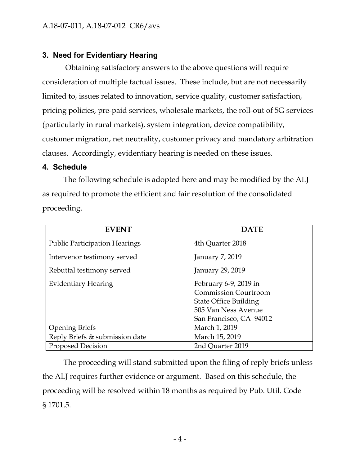## **3. Need for Evidentiary Hearing**

 Obtaining satisfactory answers to the above questions will require consideration of multiple factual issues. These include, but are not necessarily limited to, issues related to innovation, service quality, customer satisfaction, pricing policies, pre-paid services, wholesale markets, the roll-out of 5G services (particularly in rural markets), system integration, device compatibility, customer migration, net neutrality, customer privacy and mandatory arbitration clauses. Accordingly, evidentiary hearing is needed on these issues.

#### **4. Schedule**

The following schedule is adopted here and may be modified by the ALJ as required to promote the efficient and fair resolution of the consolidated proceeding.

| <b>EVENT</b>                         | <b>DATE</b>                  |
|--------------------------------------|------------------------------|
| <b>Public Participation Hearings</b> | 4th Quarter 2018             |
| Intervenor testimony served          | January 7, 2019              |
| Rebuttal testimony served            | January 29, 2019             |
| <b>Evidentiary Hearing</b>           | February 6-9, 2019 in        |
|                                      | <b>Commission Courtroom</b>  |
|                                      | <b>State Office Building</b> |
|                                      | 505 Van Ness Avenue          |
|                                      | San Francisco, CA 94012      |
| <b>Opening Briefs</b>                | March 1, 2019                |
| Reply Briefs & submission date       | March 15, 2019               |
| <b>Proposed Decision</b>             | 2nd Quarter 2019             |

The proceeding will stand submitted upon the filing of reply briefs unless the ALJ requires further evidence or argument. Based on this schedule, the proceeding will be resolved within 18 months as required by Pub. Util. Code § 1701.5.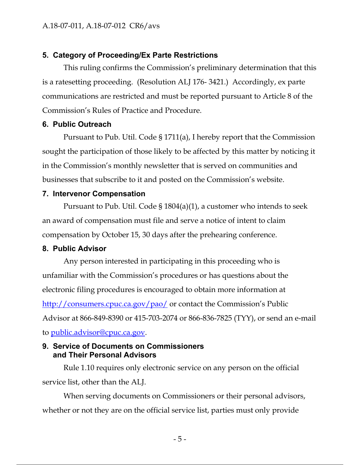## **5. Category of Proceeding/Ex Parte Restrictions**

This ruling confirms the Commission's preliminary determination that this is a ratesetting proceeding. (Resolution ALJ 176- 3421.) Accordingly, ex parte communications are restricted and must be reported pursuant to Article 8 of the Commission's Rules of Practice and Procedure.

### **6. Public Outreach**

Pursuant to Pub. Util. Code § 1711(a), I hereby report that the Commission sought the participation of those likely to be affected by this matter by noticing it in the Commission's monthly newsletter that is served on communities and businesses that subscribe to it and posted on the Commission's website.

### **7. Intervenor Compensation**

Pursuant to Pub. Util. Code § 1804(a)(1), a customer who intends to seek an award of compensation must file and serve a notice of intent to claim compensation by October 15, 30 days after the prehearing conference.

### **8. Public Advisor**

Any person interested in participating in this proceeding who is unfamiliar with the Commission's procedures or has questions about the electronic filing procedures is encouraged to obtain more information at http://consumers.cpuc.ca.gov/pao/ or contact the Commission's Public Advisor at 866-849-8390 or 415-703-2074 or 866-836-7825 (TYY), or send an e-mail to public.advisor@cpuc.ca.gov.

### **9. Service of Documents on Commissioners and Their Personal Advisors**

Rule 1.10 requires only electronic service on any person on the official service list, other than the ALJ.

When serving documents on Commissioners or their personal advisors, whether or not they are on the official service list, parties must only provide